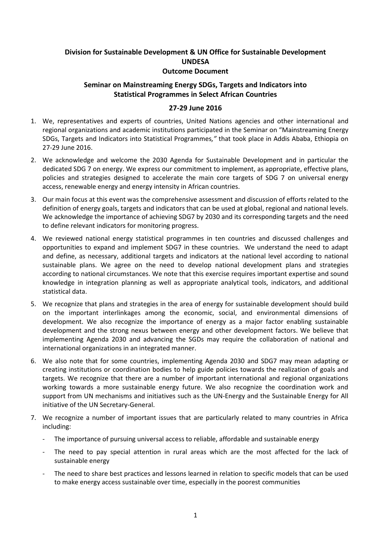## **Division for Sustainable Development & UN Office for Sustainable Development UNDESA Outcome Document**

## **Seminar on Mainstreaming Energy SDGs, Targets and Indicators into Statistical Programmes in Select African Countries**

## **27-29 June 2016**

- 1. We, representatives and experts of countries, United Nations agencies and other international and regional organizations and academic institutions participated in the Seminar on "Mainstreaming Energy SDGs, Targets and Indicators into Statistical Programmes*,"* that took place in Addis Ababa, Ethiopia on 27-29 June 2016.
- 2. We acknowledge and welcome the 2030 Agenda for Sustainable Development and in particular the dedicated SDG 7 on energy. We express our commitment to implement, as appropriate, effective plans, policies and strategies designed to accelerate the main core targets of SDG 7 on universal energy access, renewable energy and energy intensity in African countries.
- 3. Our main focus at this event was the comprehensive assessment and discussion of efforts related to the definition of energy goals, targets and indicators that can be used at global, regional and national levels. We acknowledge the importance of achieving SDG7 by 2030 and its corresponding targets and the need to define relevant indicators for monitoring progress.
- 4. We reviewed national energy statistical programmes in ten countries and discussed challenges and opportunities to expand and implement SDG7 in these countries. We understand the need to adapt and define, as necessary, additional targets and indicators at the national level according to national sustainable plans. We agree on the need to develop national development plans and strategies according to national circumstances. We note that this exercise requires important expertise and sound knowledge in integration planning as well as appropriate analytical tools, indicators, and additional statistical data.
- 5. We recognize that plans and strategies in the area of energy for sustainable development should build on the important interlinkages among the economic, social, and environmental dimensions of development. We also recognize the importance of energy as a major factor enabling sustainable development and the strong nexus between energy and other development factors. We believe that implementing Agenda 2030 and advancing the SGDs may require the collaboration of national and international organizations in an integrated manner.
- 6. We also note that for some countries, implementing Agenda 2030 and SDG7 may mean adapting or creating institutions or coordination bodies to help guide policies towards the realization of goals and targets. We recognize that there are a number of important international and regional organizations working towards a more sustainable energy future. We also recognize the coordination work and support from UN mechanisms and initiatives such as the UN-Energy and the Sustainable Energy for All initiative of the UN Secretary-General.
- 7. We recognize a number of important issues that are particularly related to many countries in Africa including:
	- The importance of pursuing universal access to reliable, affordable and sustainable energy
	- The need to pay special attention in rural areas which are the most affected for the lack of sustainable energy
	- The need to share best practices and lessons learned in relation to specific models that can be used to make energy access sustainable over time, especially in the poorest communities